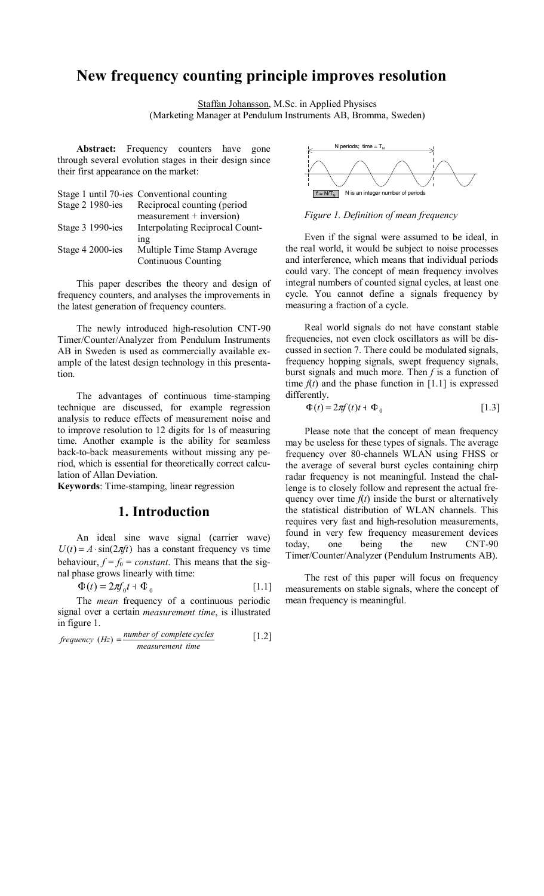# **New frequency counting principle improves resolution**

Staffan Johansson, M.Sc. in Applied Physiscs (Marketing Manager at Pendulum Instruments AB, Bromma, Sweden)

Abstract: Frequency counters have gone through several evolution stages in their design since their first appearance on the market:

|                  | Stage 1 until 70-ies Conventional counting                           |
|------------------|----------------------------------------------------------------------|
| Stage 2 1980-ies | Reciprocal counting (period                                          |
| Stage 3 1990-ies | $measurement + inversion)$<br><b>Interpolating Reciprocal Count-</b> |
|                  | ing                                                                  |
| Stage 4 2000-ies | Multiple Time Stamp Average                                          |
|                  | <b>Continuous Counting</b>                                           |

This paper describes the theory and design of frequency counters, and analyses the improvements in the latest generation of frequency counters.

The newly introduced high-resolution CNT-90 Timer/Counter/Analyzer from Pendulum Instruments AB in Sweden is used as commercially available example of the latest design technology in this presentation.

The advantages of continuous time-stamping technique are discussed, for example regression analysis to reduce effects of measurement noise and to improve resolution to 12 digits for 1s of measuring time. Another example is the ability for seamless back-to-back measurements without missing any period, which is essential for theoretically correct calculation of Allan Deviation.

**Keywords**: Time-stamping, linear regression

### **1. Introduction**

An ideal sine wave signal (carrier wave)  $U(t) = A \cdot \sin(2\pi ft)$  has a constant frequency vs time behaviour,  $f = f_0 = constant$ . This means that the signal phase grows linearly with time:

$$
\Phi(t) = 2\pi f_0 t + \Phi_0 \tag{1.1}
$$

The *mean* frequency of a continuous periodic signal over a certain *measurement time*, is illustrated in figure 1.

$$
frequency (Hz) = \frac{number\ of\ complete\ cycles}{measurement\ time}
$$
 [1.2]



*Figure 1. Definition of mean frequency* 

Even if the signal were assumed to be ideal, in the real world, it would be subject to noise processes and interference, which means that individual periods could vary. The concept of mean frequency involves integral numbers of counted signal cycles, at least one cycle. You cannot define a signals frequency by measuring a fraction of a cycle.

Real world signals do not have constant stable frequencies, not even clock oscillators as will be discussed in section 7. There could be modulated signals, frequency hopping signals, swept frequency signals, burst signals and much more. Then *f* is a function of time  $f(t)$  and the phase function in [1.1] is expressed differently.

$$
\Phi(t) = 2\pi f(t)t + \Phi_0 \tag{1.3}
$$

Please note that the concept of mean frequency may be useless for these types of signals. The average frequency over 80-channels WLAN using FHSS or the average of several burst cycles containing chirp radar frequency is not meaningful. Instead the challenge is to closely follow and represent the actual frequency over time  $f(t)$  inside the burst or alternatively the statistical distribution of WLAN channels. This requires very fast and high-resolution measurements, found in very few frequency measurement devices today, one being the new CNT-90 Timer/Counter/Analyzer (Pendulum Instruments AB).

The rest of this paper will focus on frequency measurements on stable signals, where the concept of mean frequency is meaningful.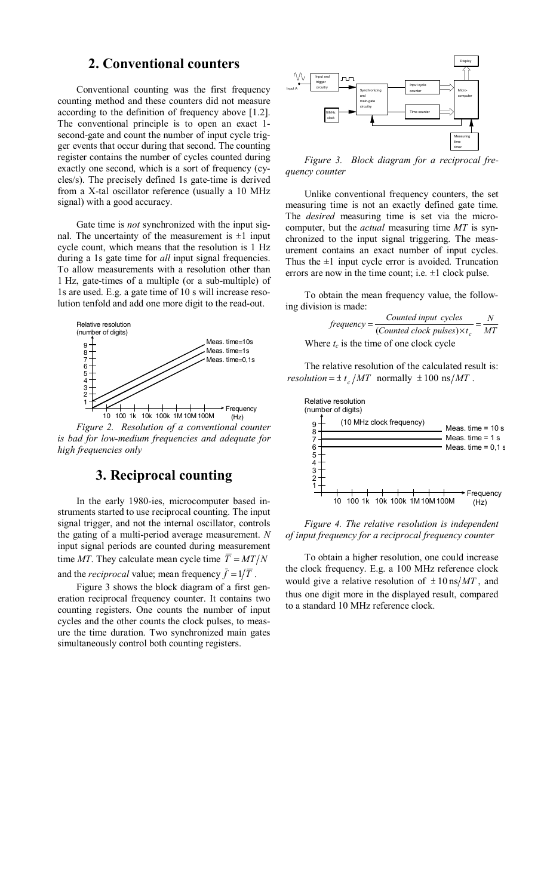### **2. Conventional counters**

Conventional counting was the first frequency counting method and these counters did not measure according to the definition of frequency above [1.2]. The conventional principle is to open an exact 1 second-gate and count the number of input cycle trigger events that occur during that second. The counting register contains the number of cycles counted during exactly one second, which is a sort of frequency (cycles/s). The precisely defined 1s gate-time is derived from a X-tal oscillator reference (usually a 10 MHz signal) with a good accuracy.

Gate time is *not* synchronized with the input signal. The uncertainty of the measurement is  $\pm 1$  input cycle count, which means that the resolution is 1 Hz during a 1s gate time for *all* input signal frequencies. To allow measurements with a resolution other than 1 Hz, gate-times of a multiple (or a sub-multiple) of 1s are used. E.g. a gate time of 10 s will increase resolution tenfold and add one more digit to the read-out.



*Figure 2. Resolution of a conventional counter is bad for low-medium frequencies and adequate for high frequencies only* 

### **3. Reciprocal counting**

In the early 1980-ies, microcomputer based instruments started to use reciprocal counting. The input signal trigger, and not the internal oscillator, controls the gating of a multi-period average measurement. *N* input signal periods are counted during measurement time *MT*. They calculate mean cycle time  $\overline{T} = MT/N$ and the *reciprocal* value; mean frequency  $\bar{f} = 1/\bar{T}$ .

Figure 3 shows the block diagram of a first generation reciprocal frequency counter. It contains two counting registers. One counts the number of input cycles and the other counts the clock pulses, to measure the time duration. Two synchronized main gates simultaneously control both counting registers.



*Figure 3. Block diagram for a reciprocal frequency counter* 

Unlike conventional frequency counters, the set measuring time is not an exactly defined gate time. The *desired* measuring time is set via the microcomputer, but the *actual* measuring time *MT* is synchronized to the input signal triggering. The measurement contains an exact number of input cycles. Thus the  $\pm 1$  input cycle error is avoided. Truncation errors are now in the time count; i.e.  $\pm 1$  clock pulse.

To obtain the mean frequency value, the following division is made:

| $f$ requenc $v =$ | Counted input cycles                       |    |
|-------------------|--------------------------------------------|----|
|                   | (Counted clock pulses) $\times t_c$        | МT |
|                   | Where $t_c$ is the time of one clock cycle |    |

The relative resolution of the calculated result is: *resolution* =  $\pm t_c/MT$  normally  $\pm 100 \text{ ns}/MT$ .



*Figure 4. The relative resolution is independent of input frequency for a reciprocal frequency counter* 

To obtain a higher resolution, one could increase the clock frequency. E.g. a 100 MHz reference clock would give a relative resolution of  $\pm 10 \text{ ns}/MT$ , and thus one digit more in the displayed result, compared to a standard 10 MHz reference clock.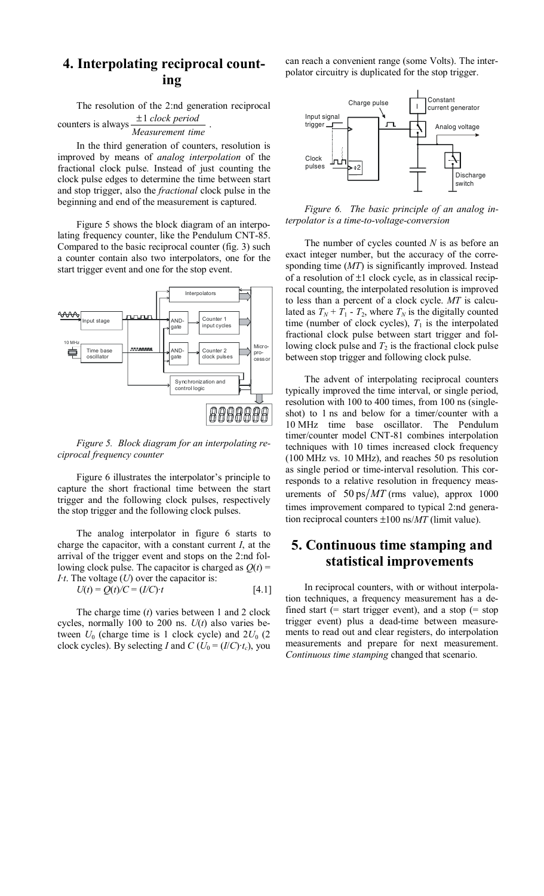## **4. Interpolating reciprocal counting**

The resolution of the 2:nd generation reciprocal counters is always *Measurement time* <sup>±</sup><sup>1</sup> *clock period* .

In the third generation of counters, resolution is improved by means of *analog interpolation* of the fractional clock pulse. Instead of just counting the clock pulse edges to determine the time between start and stop trigger, also the *fractional* clock pulse in the beginning and end of the measurement is captured.

Figure 5 shows the block diagram of an interpolating frequency counter, like the Pendulum CNT-85. Compared to the basic reciprocal counter (fig. 3) such a counter contain also two interpolators, one for the start trigger event and one for the stop event.



*Figure 5. Block diagram for an interpolating reciprocal frequency counter* 

Figure 6 illustrates the interpolator's principle to capture the short fractional time between the start trigger and the following clock pulses, respectively the stop trigger and the following clock pulses.

The analog interpolator in figure 6 starts to charge the capacitor, with a constant current *I*, at the arrival of the trigger event and stops on the 2:nd following clock pulse. The capacitor is charged as  $Q(t)$  = *I·t*. The voltage (*U*) over the capacitor is:

$$
U(t) = Q(t)/C = (I/C) \cdot t \tag{4.1}
$$

The charge time (*t*) varies between 1 and 2 clock cycles, normally 100 to 200 ns. *U*(*t*) also varies between  $U_0$  (charge time is 1 clock cycle) and  $2U_0$  (2 clock cycles). By selecting *I* and  $C$  ( $U_0 = (I/C) \cdot t_c$ ), you

can reach a convenient range (some Volts). The interpolator circuitry is duplicated for the stop trigger.



*Figure 6. The basic principle of an analog interpolator is a time-to-voltage-conversion* 

The number of cycles counted *N* is as before an exact integer number, but the accuracy of the corresponding time (*MT*) is significantly improved. Instead of a resolution of  $\pm 1$  clock cycle, as in classical reciprocal counting, the interpolated resolution is improved to less than a percent of a clock cycle. *MT* is calculated as  $T_N + T_1 - T_2$ , where  $T_N$  is the digitally counted time (number of clock cycles),  $T_1$  is the interpolated fractional clock pulse between start trigger and following clock pulse and  $T_2$  is the fractional clock pulse between stop trigger and following clock pulse.

The advent of interpolating reciprocal counters typically improved the time interval, or single period, resolution with 100 to 400 times, from 100 ns (singleshot) to 1 ns and below for a timer/counter with a 10 MHz time base oscillator. The Pendulum timer/counter model CNT-81 combines interpolation techniques with 10 times increased clock frequency (100 MHz vs. 10 MHz), and reaches 50 ps resolution as single period or time-interval resolution. This corresponds to a relative resolution in frequency measurements of  $50 \text{ ps}/MT$  (rms value), approx 1000 times improvement compared to typical 2:nd generation reciprocal counters ±100 ns/*MT* (limit value).

### **5. Continuous time stamping and statistical improvements**

In reciprocal counters, with or without interpolation techniques, a frequency measurement has a defined start (= start trigger event), and a stop (= stop trigger event) plus a dead-time between measurements to read out and clear registers, do interpolation measurements and prepare for next measurement. *Continuous time stamping* changed that scenario.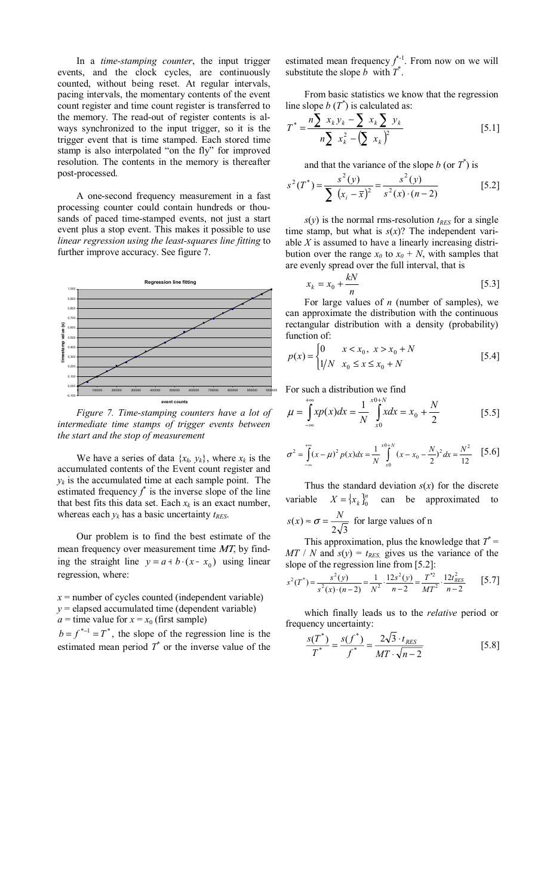In a *time-stamping counter*, the input trigger events, and the clock cycles, are continuously counted, without being reset. At regular intervals, pacing intervals, the momentary contents of the event count register and time count register is transferred to the memory. The read-out of register contents is always synchronized to the input trigger, so it is the trigger event that is time stamped. Each stored time stamp is also interpolated "on the fly" for improved resolution. The contents in the memory is thereafter post-processed.

A one-second frequency measurement in a fast processing counter could contain hundreds or thousands of paced time-stamped events, not just a start event plus a stop event. This makes it possible to use *linear regression using the least-squares line fitting* to further improve accuracy. See figure 7.



*Figure 7. Time-stamping counters have a lot of intermediate time stamps of trigger events between the start and the stop of measurement* 

We have a series of data  $\{x_k, y_k\}$ , where  $x_k$  is the accumulated contents of the Event count register and  $y_k$  is the accumulated time at each sample point. The estimated frequency  $f^*$  is the inverse slope of the line that best fits this data set. Each  $x_k$  is an exact number, whereas each  $y_k$  has a basic uncertainty  $t_{RES}$ .

Our problem is to find the best estimate of the mean frequency over measurement time MT, by finding the straight line  $y = a + b \cdot (x - x_0)$  using linear regression, where:

- $x =$  number of cycles counted (independent variable)  $y =$  elapsed accumulated time (dependent variable)
- 

*a* = time value for  $x = x_0$  (first sample)  $b = f^{*-1} = T^*$ , the slope of the regression line is the estimated mean period  $T^*$  or the inverse value of the estimated mean frequency  $f^{\dagger}$ <sup>-1</sup>. From now on we will substitute the slope  $\vec{b}$  with  $\vec{T}^*$ .

From basic statistics we know that the regression line slope  $b(T^*)$  is calculated as:

$$
T^* = \frac{n \sum x_k y_k - \sum x_k \sum y_k}{n \sum x_k^2 - (\sum x_k)^2}
$$
 [5.1]

and that the variance of the slope *b* (or  $T^*$ ) is

$$
s^{2}(T^{*}) = \frac{s^{2}(y)}{\sum (x_{i} - \bar{x})^{2}} = \frac{s^{2}(y)}{s^{2}(x) \cdot (n-2)}
$$
 [5.2]

 $s(y)$  is the normal rms-resolution  $t_{RES}$  for a single time stamp, but what is  $s(x)$ ? The independent variable *X* is assumed to have a linearly increasing distribution over the range  $x_0$  to  $x_0 + N$ , with samples that are evenly spread over the full interval, that is

$$
x_k = x_0 + \frac{kN}{n} \tag{5.3}
$$

For large values of *n* (number of samples), we can approximate the distribution with the continuous rectangular distribution with a density (probability) function of:

$$
p(x) = \begin{cases} 0 & x < x_0, \ x > x_0 + N \\ 1/N & x_0 \le x \le x_0 + N \end{cases}
$$
 [5.4]

For such a distribution we find

$$
\mu = \int_{-\infty}^{+\infty} x p(x) dx = \frac{1}{N} \int_{x0}^{x0+N} x dx = x_0 + \frac{N}{2}
$$
 [5.5]

$$
\sigma^{2} = \int_{-\infty}^{+\infty} (x - \mu)^{2} p(x) dx = \frac{1}{N} \int_{x_{0}}^{x_{0}+N} (x - x_{0} - \frac{N}{2})^{2} dx = \frac{N^{2}}{12} \quad [5.6]
$$

Thus the standard deviation  $s(x)$  for the discrete variable  $X = \{x_k\}_0^n$ *k z*  $\alpha$  *x x x x x x x x x x x x x x x x x x x x x x x x x x x x x x x x x x x*  $2\sqrt{3}$  $s(x) \approx \sigma = \frac{N}{\sqrt{N}}$  for large values of n

This approximation, plus the knowledge that  $T^* =$  $MT / N$  and  $s(y) = t_{RES}$ , gives us the variance of the slope of the regression line from [5.2]:

$$
s^{2}(T^{*}) = \frac{s^{2}(y)}{s^{2}(x) \cdot (n-2)} = \frac{1}{N^{2}} \cdot \frac{12s^{2}(y)}{n-2} = \frac{T^{*2}}{MT^{2}} \cdot \frac{12t_{RES}^{2}}{n-2}
$$
 [5.7]

which finally leads us to the *relative* period or frequency uncertainty:

$$
\frac{s(T^*)}{T^*} = \frac{s(f^*)}{f^*} = \frac{2\sqrt{3} \cdot t_{RES}}{MT \cdot \sqrt{n-2}}
$$
 [5.8]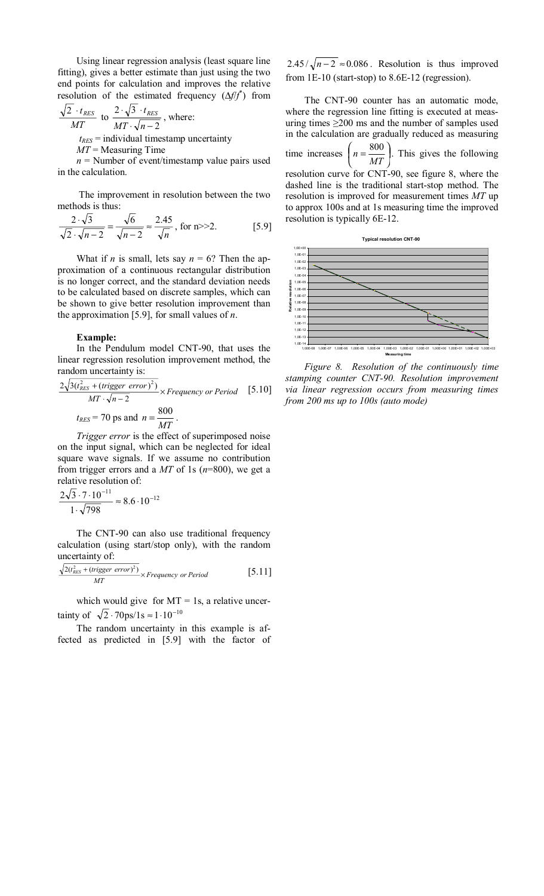Using linear regression analysis (least square line fitting), gives a better estimate than just using the two end points for calculation and improves the relative resolution of the estimated frequency (Δ*f*/*f*<sup>\*</sup>) from

$$
\frac{\sqrt{2} \cdot t_{RES}}{MT}
$$
 to  $\frac{2 \cdot \sqrt{3} \cdot t_{RES}}{MT \cdot \sqrt{n-2}}$ , where:  
 $t_{RES}$  = individual timestamp uncertainty

*MT* = Measuring Time

 $n =$  Number of event/timestamp value pairs used in the calculation.

 The improvement in resolution between the two methods is thus:

$$
\frac{2 \cdot \sqrt{3}}{\sqrt{2} \cdot \sqrt{n-2}} = \frac{\sqrt{6}}{\sqrt{n-2}} \approx \frac{2.45}{\sqrt{n}}, \text{ for } n >> 2.
$$
 [5.9]

What if *n* is small, lets say  $n = 6$ ? Then the approximation of a continuous rectangular distribution is no longer correct, and the standard deviation needs to be calculated based on discrete samples, which can be shown to give better resolution improvement than the approximation [5.9], for small values of *n*.

#### **Example:**

In the Pendulum model CNT-90, that uses the linear regression resolution improvement method, the random uncertainty is:

$$
\frac{2\sqrt{3(t_{RES}^2 + (trigger\ error)^2)}}{MT \cdot \sqrt{n-2}} \times Frequency\ or\ Period \quad [5.10]
$$
  
 $t_{RES} = 70 \text{ ps and } n = \frac{800}{MT}.$ 

*Trigger error* is the effect of superimposed noise on the input signal, which can be neglected for ideal square wave signals. If we assume no contribution from trigger errors and a *MT* of 1s (*n*=800), we get a relative resolution of:

$$
\frac{2\sqrt{3} \cdot 7 \cdot 10^{-11}}{1 \cdot \sqrt{798}} \approx 8.6 \cdot 10^{-12}
$$

The CNT-90 can also use traditional frequency calculation (using start/stop only), with the random uncertainty of:

$$
\frac{\sqrt{2(t_{RES}^2 + (trigger\ error)^2)}}{MT} \times Frequency\ or\ Period \qquad [5.11]
$$

which would give for  $MT = 1s$ , a relative uncertainty of  $\sqrt{2} \cdot 70 \text{ps}/1\text{s} \approx 1 \cdot 10^{-10}$ 

The random uncertainty in this example is affected as predicted in [5.9] with the factor of

 $2.45 / \sqrt{n-2} \approx 0.086$ . Resolution is thus improved from 1E-10 (start-stop) to 8.6E-12 (regression).

The CNT-90 counter has an automatic mode, where the regression line fitting is executed at measuring times  $\geq 200$  ms and the number of samples used in the calculation are gradually reduced as measuring time increases  $n = \frac{000}{100}$  $\overline{1}$  $n = \frac{800}{100}$  $\left(n = \frac{800}{MT}\right)$ . This gives the following resolution curve for CNT-90, see figure 8, where the dashed line is the traditional start-stop method. The resolution is improved for measurement times *MT* up to approx 100s and at 1s measuring time the improved resolution is typically 6E-12.



*Figure 8. Resolution of the continuously time stamping counter CNT-90. Resolution improvement via linear regression occurs from measuring times from 200 ms up to 100s (auto mode)*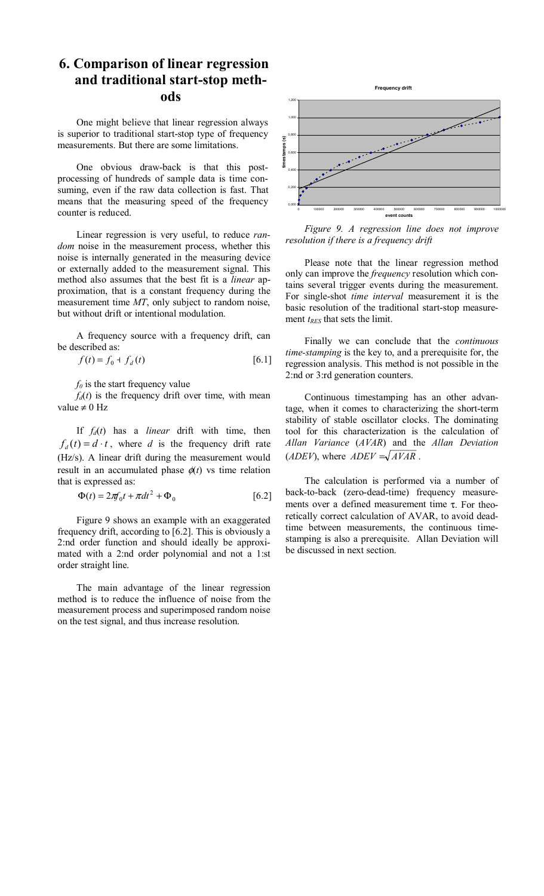# **6. Comparison of linear regression and traditional start-stop methods**

One might believe that linear regression always is superior to traditional start-stop type of frequency measurements. But there are some limitations.

One obvious draw-back is that this postprocessing of hundreds of sample data is time consuming, even if the raw data collection is fast. That means that the measuring speed of the frequency counter is reduced.

Linear regression is very useful, to reduce *random* noise in the measurement process, whether this noise is internally generated in the measuring device or externally added to the measurement signal. This method also assumes that the best fit is a *linear* approximation, that is a constant frequency during the measurement time *MT*, only subject to random noise, but without drift or intentional modulation.

A frequency source with a frequency drift, can be described as:

$$
f(t) = f_0 + f_d(t)
$$
 [6.1]

 $f_0$  is the start frequency value

 $f_d(t)$  is the frequency drift over time, with mean value  $\neq 0$  Hz

If *fd*(*t*) has a *linear* drift with time, then  $f_d(t) = d \cdot t$ , where *d* is the frequency drift rate (Hz/s). A linear drift during the measurement would result in an accumulated phase  $\phi(t)$  vs time relation that is expressed as:

$$
\Phi(t) = 2\pi f_0 t + \pi dt^2 + \Phi_0 \qquad [6.2]
$$

Figure 9 shows an example with an exaggerated frequency drift, according to [6.2]. This is obviously a 2:nd order function and should ideally be approximated with a 2:nd order polynomial and not a 1:st order straight line.

The main advantage of the linear regression method is to reduce the influence of noise from the measurement process and superimposed random noise on the test signal, and thus increase resolution.



*Figure 9. A regression line does not improve resolution if there is a frequency drift* 

Please note that the linear regression method only can improve the *frequency* resolution which contains several trigger events during the measurement. For single-shot *time interval* measurement it is the basic resolution of the traditional start-stop measurement *t<sub>RES</sub>* that sets the limit.

Finally we can conclude that the *continuous time-stamping* is the key to, and a prerequisite for, the regression analysis. This method is not possible in the 2:nd or 3:rd generation counters.

Continuous timestamping has an other advantage, when it comes to characterizing the short-term stability of stable oscillator clocks. The dominating tool for this characterization is the calculation of *Allan Variance* (*AVAR*) and the *Allan Deviation* (*ADEV*), where  $ADEV = \sqrt{AVAR}$ .

The calculation is performed via a number of back-to-back (zero-dead-time) frequency measurements over a defined measurement time τ. For theoretically correct calculation of AVAR, to avoid deadtime between measurements, the continuous timestamping is also a prerequisite. Allan Deviation will be discussed in next section.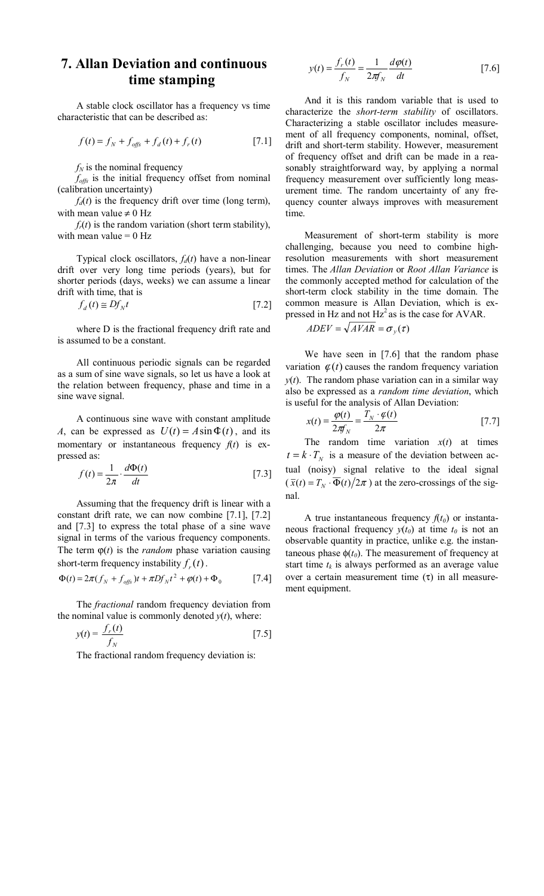## **7. Allan Deviation and continuous time stamping**

A stable clock oscillator has a frequency vs time characteristic that can be described as:

$$
f(t) = f_N + f_{\text{offs}} + f_d(t) + f_r(t)
$$
 [7.1]

 $f_N$  is the nominal frequency

*foffs* is the initial frequency offset from nominal (calibration uncertainty)

 $f_d(t)$  is the frequency drift over time (long term), with mean value  $\neq 0$  Hz

 $f_r(t)$  is the random variation (short term stability), with mean value  $= 0$  Hz

Typical clock oscillators,  $f_d(t)$  have a non-linear drift over very long time periods (years), but for shorter periods (days, weeks) we can assume a linear drift with time, that is

$$
f_d(t) \cong Df_N t \tag{7.2}
$$

where D is the fractional frequency drift rate and is assumed to be a constant.

All continuous periodic signals can be regarded as a sum of sine wave signals, so let us have a look at the relation between frequency, phase and time in a sine wave signal.

A continuous sine wave with constant amplitude *A*, can be expressed as  $U(t) = A \sin \Phi(t)$ , and its momentary or instantaneous frequency  $f(t)$  is expressed as:

$$
f(t) = \frac{1}{2\pi} \cdot \frac{d\Phi(t)}{dt}
$$
 [7.3]

Assuming that the frequency drift is linear with a constant drift rate, we can now combine [7.1], [7.2] and [7.3] to express the total phase of a sine wave signal in terms of the various frequency components. The term  $\varphi(t)$  is the *random* phase variation causing short-term frequency instability  $f_r(t)$ .

$$
\Phi(t) = 2\pi (f_N + f_{\text{offs}})t + \pi D f_N t^2 + \varphi(t) + \Phi_0
$$
 [7.4]

The *fractional* random frequency deviation from the nominal value is commonly denoted  $y(t)$ , where:

$$
y(t) = \frac{f_r(t)}{f_N} \tag{7.5}
$$

The fractional random frequency deviation is:

$$
y(t) = \frac{f_r(t)}{f_N} = \frac{1}{2\pi f_N} \frac{d\varphi(t)}{dt}
$$
 [7.6]

And it is this random variable that is used to characterize the *short-term stability* of oscillators. Characterizing a stable oscillator includes measurement of all frequency components, nominal, offset, drift and short-term stability. However, measurement of frequency offset and drift can be made in a reasonably straightforward way, by applying a normal frequency measurement over sufficiently long measurement time. The random uncertainty of any frequency counter always improves with measurement time.

Measurement of short-term stability is more challenging, because you need to combine highresolution measurements with short measurement times. The *Allan Deviation* or *Root Allan Variance* is the commonly accepted method for calculation of the short-term clock stability in the time domain. The common measure is Allan Deviation, which is expressed in Hz and not  $Hz^2$  as is the case for AVAR.

$$
ADEV = \sqrt{AVAR} = \sigma_y(\tau)
$$

We have seen in [7.6] that the random phase variation  $\varphi(t)$  causes the random frequency variation  $y(t)$ . The random phase variation can in a similar way also be expressed as a *random time deviation*, which is useful for the analysis of Allan Deviation:

$$
x(t) = \frac{\varphi(t)}{2\pi f_N} = \frac{T_N \cdot \varphi(t)}{2\pi}
$$
 [7.7]

The random time variation  $x(t)$  at times  $t = k \cdot T_N$  is a measure of the deviation between actual (noisy) signal relative to the ideal signal  $(\bar{x}(t) = T_N \cdot \overline{\Phi}(t)/2\pi)$  at the zero-crossings of the signal.

A true instantaneous frequency  $f(t_0)$  or instantaneous fractional frequency  $y(t_0)$  at time  $t_0$  is not an observable quantity in practice, unlike e.g. the instantaneous phase  $\phi(t_0)$ . The measurement of frequency at start time  $t_k$  is always performed as an average value over a certain measurement time  $(τ)$  in all measurement equipment.